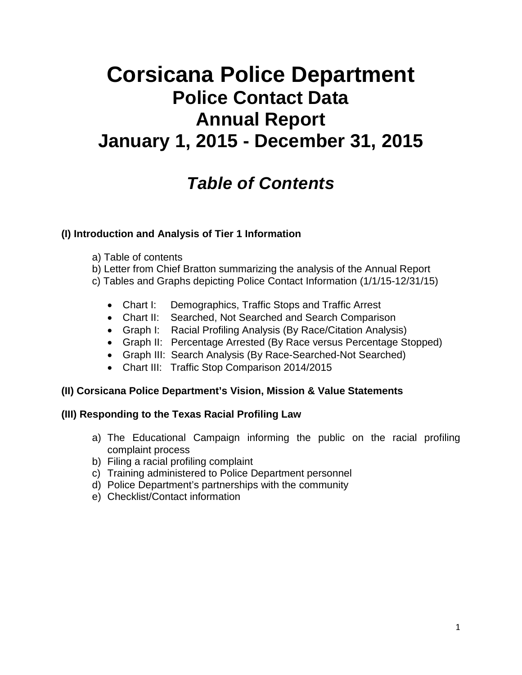# **Corsicana Police Department Police Contact Data Annual Report January 1, 2015 - December 31, 2015**

# *Table of Contents*

#### **(I) Introduction and Analysis of Tier 1 Information**

- a) Table of contents
- b) Letter from Chief Bratton summarizing the analysis of the Annual Report
- c) Tables and Graphs depicting Police Contact Information (1/1/15-12/31/15)
	- Chart I: Demographics, Traffic Stops and Traffic Arrest
	- Chart II: Searched, Not Searched and Search Comparison
	- Graph I: Racial Profiling Analysis (By Race/Citation Analysis)
	- Graph II: Percentage Arrested (By Race versus Percentage Stopped)
	- Graph III: Search Analysis (By Race-Searched-Not Searched)
	- Chart III: Traffic Stop Comparison 2014/2015

#### **(II) Corsicana Police Department's Vision, Mission & Value Statements**

#### **(III) Responding to the Texas Racial Profiling Law**

- a) The Educational Campaign informing the public on the racial profiling complaint process
- b) Filing a racial profiling complaint
- c) Training administered to Police Department personnel
- d) Police Department's partnerships with the community
- e) Checklist/Contact information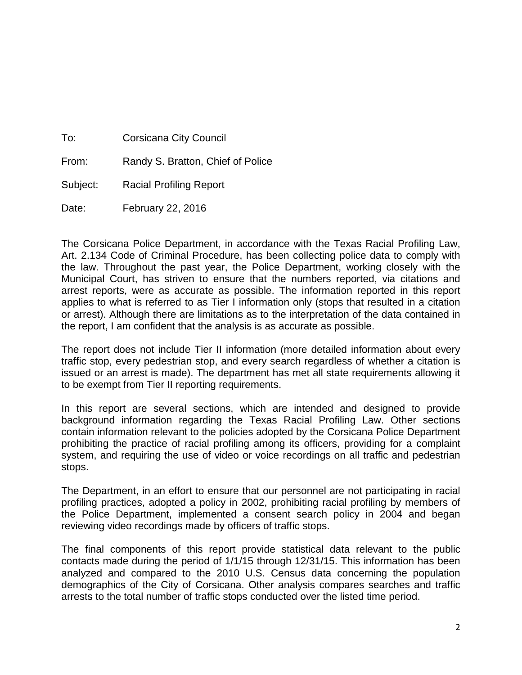| To:      | <b>Corsicana City Council</b>     |  |
|----------|-----------------------------------|--|
| From:    | Randy S. Bratton, Chief of Police |  |
| Subject: | <b>Racial Profiling Report</b>    |  |
| Date:    | February 22, 2016                 |  |

The Corsicana Police Department, in accordance with the Texas Racial Profiling Law, Art. 2.134 Code of Criminal Procedure, has been collecting police data to comply with the law. Throughout the past year, the Police Department, working closely with the Municipal Court, has striven to ensure that the numbers reported, via citations and arrest reports, were as accurate as possible. The information reported in this report applies to what is referred to as Tier I information only (stops that resulted in a citation or arrest). Although there are limitations as to the interpretation of the data contained in the report, I am confident that the analysis is as accurate as possible.

The report does not include Tier II information (more detailed information about every traffic stop, every pedestrian stop, and every search regardless of whether a citation is issued or an arrest is made). The department has met all state requirements allowing it to be exempt from Tier II reporting requirements.

In this report are several sections, which are intended and designed to provide background information regarding the Texas Racial Profiling Law. Other sections contain information relevant to the policies adopted by the Corsicana Police Department prohibiting the practice of racial profiling among its officers, providing for a complaint system, and requiring the use of video or voice recordings on all traffic and pedestrian stops.

The Department, in an effort to ensure that our personnel are not participating in racial profiling practices, adopted a policy in 2002, prohibiting racial profiling by members of the Police Department, implemented a consent search policy in 2004 and began reviewing video recordings made by officers of traffic stops.

The final components of this report provide statistical data relevant to the public contacts made during the period of 1/1/15 through 12/31/15. This information has been analyzed and compared to the 2010 U.S. Census data concerning the population demographics of the City of Corsicana. Other analysis compares searches and traffic arrests to the total number of traffic stops conducted over the listed time period.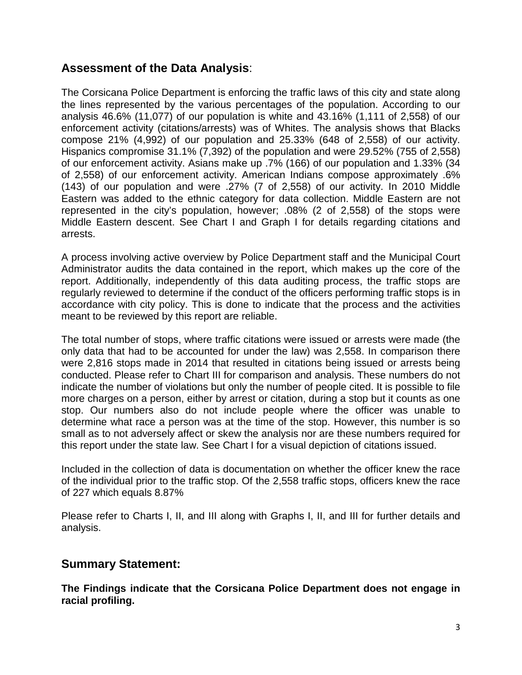#### **Assessment of the Data Analysis**:

The Corsicana Police Department is enforcing the traffic laws of this city and state along the lines represented by the various percentages of the population. According to our analysis 46.6% (11,077) of our population is white and 43.16% (1,111 of 2,558) of our enforcement activity (citations/arrests) was of Whites. The analysis shows that Blacks compose 21% (4,992) of our population and 25.33% (648 of 2,558) of our activity. Hispanics compromise 31.1% (7,392) of the population and were 29.52% (755 of 2,558) of our enforcement activity. Asians make up .7% (166) of our population and 1.33% (34 of 2,558) of our enforcement activity. American Indians compose approximately .6% (143) of our population and were .27% (7 of 2,558) of our activity. In 2010 Middle Eastern was added to the ethnic category for data collection. Middle Eastern are not represented in the city's population, however; .08% (2 of 2,558) of the stops were Middle Eastern descent. See Chart I and Graph I for details regarding citations and arrests.

A process involving active overview by Police Department staff and the Municipal Court Administrator audits the data contained in the report, which makes up the core of the report. Additionally, independently of this data auditing process, the traffic stops are regularly reviewed to determine if the conduct of the officers performing traffic stops is in accordance with city policy. This is done to indicate that the process and the activities meant to be reviewed by this report are reliable.

The total number of stops, where traffic citations were issued or arrests were made (the only data that had to be accounted for under the law) was 2,558. In comparison there were 2,816 stops made in 2014 that resulted in citations being issued or arrests being conducted. Please refer to Chart III for comparison and analysis. These numbers do not indicate the number of violations but only the number of people cited. It is possible to file more charges on a person, either by arrest or citation, during a stop but it counts as one stop. Our numbers also do not include people where the officer was unable to determine what race a person was at the time of the stop. However, this number is so small as to not adversely affect or skew the analysis nor are these numbers required for this report under the state law. See Chart I for a visual depiction of citations issued.

Included in the collection of data is documentation on whether the officer knew the race of the individual prior to the traffic stop. Of the 2,558 traffic stops, officers knew the race of 227 which equals 8.87%

Please refer to Charts I, II, and III along with Graphs I, II, and III for further details and analysis.

#### **Summary Statement:**

**The Findings indicate that the Corsicana Police Department does not engage in racial profiling.**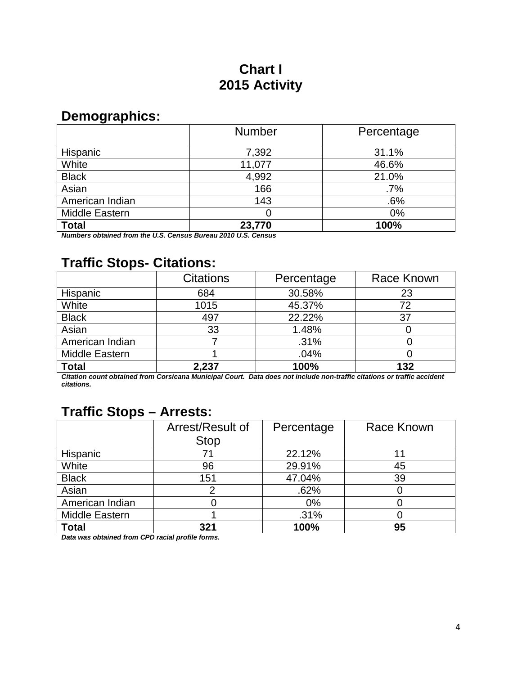# **Chart I 2015 Activity**

### **Demographics:**

|                 | <b>Number</b> | Percentage |
|-----------------|---------------|------------|
| Hispanic        | 7,392         | 31.1%      |
| White           | 11,077        | 46.6%      |
| <b>Black</b>    | 4,992         | 21.0%      |
| Asian           | 166           | .7%        |
| American Indian | 143           | .6%        |
| Middle Eastern  | 0             | $0\%$      |
| <b>Total</b>    | 23,770        | 100%       |

*Numbers obtained from the U.S. Census Bureau 2010 U.S. Census*

# **Traffic Stops- Citations:**

|                 | <b>Citations</b> | Percentage | Race Known |
|-----------------|------------------|------------|------------|
| Hispanic        | 684              | 30.58%     | 23         |
| White           | 1015             | 45.37%     | 72         |
| <b>Black</b>    | 497              | 22.22%     | 37         |
| Asian           | 33               | 1.48%      |            |
| American Indian |                  | .31%       |            |
| Middle Eastern  |                  | .04%       |            |
| <b>Total</b>    | 2,237            | 100%       | 132        |

*Citation count obtained from Corsicana Municipal Court. Data does not include non-traffic citations or traffic accident citations.*

### **Traffic Stops – Arrests:**

|                 | Arrest/Result of | Percentage | Race Known |
|-----------------|------------------|------------|------------|
|                 | <b>Stop</b>      |            |            |
| Hispanic        | 71               | 22.12%     | 11         |
| White           | 96               | 29.91%     | 45         |
| <b>Black</b>    | 151              | 47.04%     | 39         |
| Asian           |                  | .62%       |            |
| American Indian |                  | $0\%$      |            |
| Middle Eastern  |                  | .31%       |            |
| <b>Total</b>    | 321              | 100%       | 95         |

*Data was obtained from CPD racial profile forms.*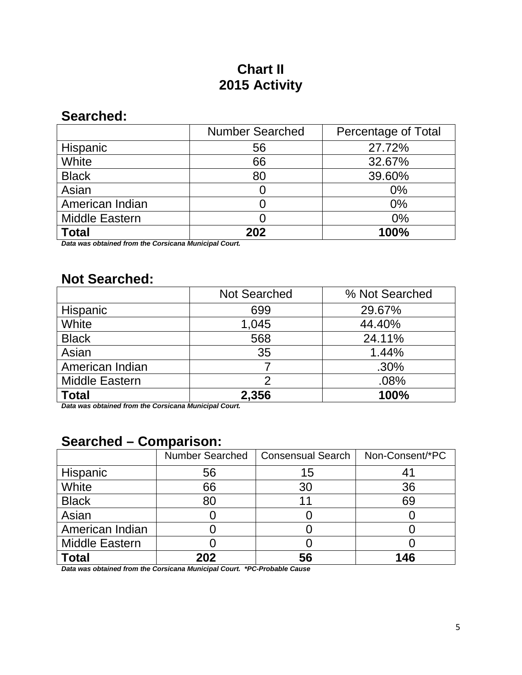# **Chart II 2015 Activity**

### **Searched:**

|                       | <b>Number Searched</b> | Percentage of Total |
|-----------------------|------------------------|---------------------|
| Hispanic              | 56                     | 27.72%              |
| White                 | 66                     | 32.67%              |
| <b>Black</b>          | 80                     | 39.60%              |
| Asian                 |                        | $0\%$               |
| American Indian       |                        | $0\%$               |
| <b>Middle Eastern</b> |                        | $0\%$               |
| <b>Total</b>          | 202                    | 100%                |

*Data was obtained from the Corsicana Municipal Court.*

### **Not Searched:**

|                       | <b>Not Searched</b> | % Not Searched |
|-----------------------|---------------------|----------------|
| Hispanic              | 699                 | 29.67%         |
| White                 | 1,045               | 44.40%         |
| <b>Black</b>          | 568                 | 24.11%         |
| Asian                 | 35                  | 1.44%          |
| American Indian       |                     | .30%           |
| <b>Middle Eastern</b> |                     | .08%           |
| <b>Total</b>          | 2,356               | 100%           |

*Data was obtained from the Corsicana Municipal Court.*

### **Searched – Comparison:**

|                       | <b>Number Searched</b> | <b>Consensual Search</b> | Non-Consent/*PC |
|-----------------------|------------------------|--------------------------|-----------------|
| Hispanic              | 56                     | 15                       | 41              |
| White                 | 66                     | 30                       | 36              |
| <b>Black</b>          | 80                     | 1                        | 69              |
| Asian                 |                        |                          |                 |
| American Indian       |                        |                          |                 |
| <b>Middle Eastern</b> |                        |                          |                 |
| <b>Total</b>          | 202                    | 56                       | 146             |

*Data was obtained from the Corsicana Municipal Court. \*PC-Probable Cause*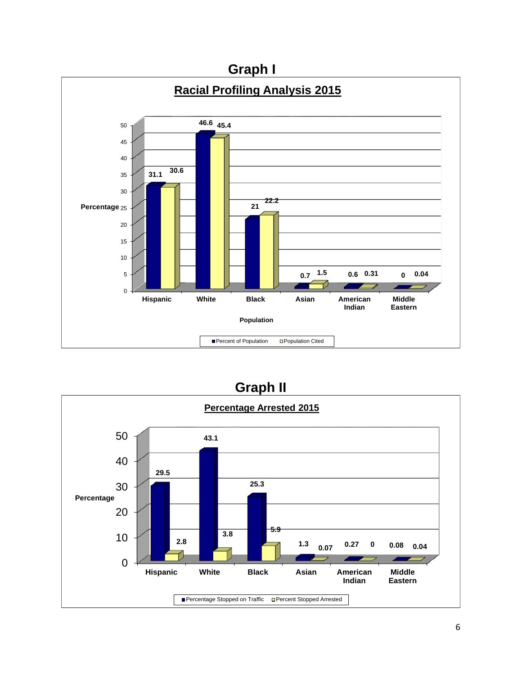

### **Graph II**

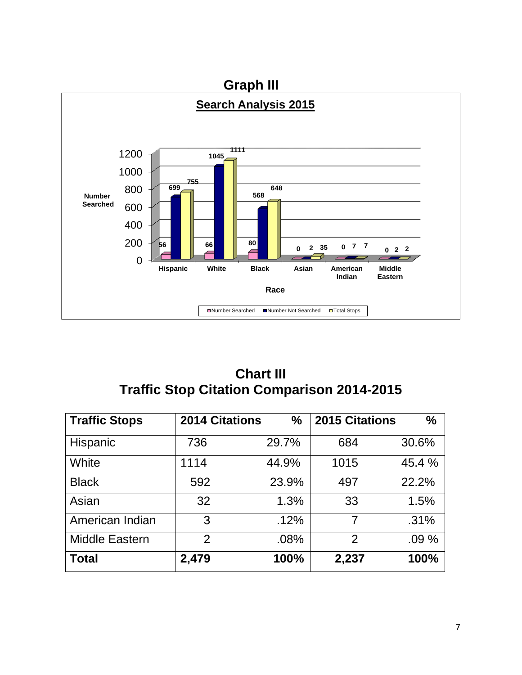

### **Chart III Traffic Stop Citation Comparison 2014-2015**

| <b>Traffic Stops</b>  | <b>2014 Citations</b> | ℅     | <b>2015 Citations</b> | $\frac{0}{0}$ |
|-----------------------|-----------------------|-------|-----------------------|---------------|
| Hispanic              | 736                   | 29.7% | 684                   | 30.6%         |
| White                 | 1114                  | 44.9% | 1015                  | 45.4 %        |
| <b>Black</b>          | 592                   | 23.9% | 497                   | 22.2%         |
| Asian                 | 32                    | 1.3%  | 33                    | 1.5%          |
| American Indian       | 3                     | .12%  | 7                     | .31%          |
| <b>Middle Eastern</b> | $\overline{2}$        | .08%  | $\overline{2}$        | .09%          |
| <b>Total</b>          | 2,479                 | 100%  | 2,237                 | 100%          |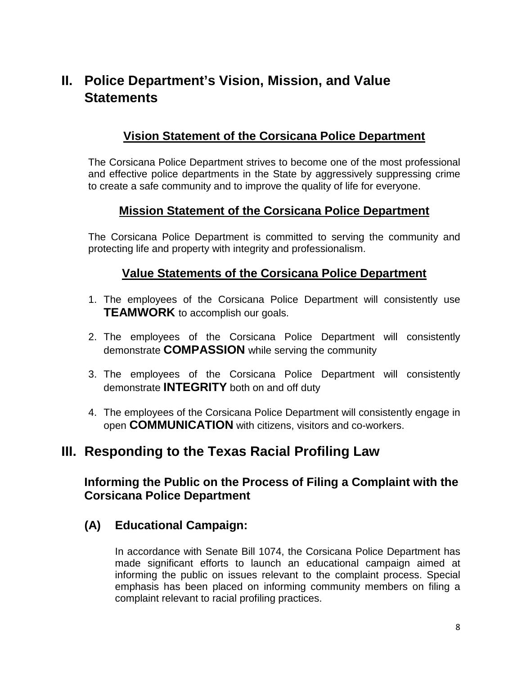### **II. Police Department's Vision, Mission, and Value Statements**

#### **Vision Statement of the Corsicana Police Department**

The Corsicana Police Department strives to become one of the most professional and effective police departments in the State by aggressively suppressing crime to create a safe community and to improve the quality of life for everyone.

#### **Mission Statement of the Corsicana Police Department**

The Corsicana Police Department is committed to serving the community and protecting life and property with integrity and professionalism.

#### **Value Statements of the Corsicana Police Department**

- 1. The employees of the Corsicana Police Department will consistently use **TEAMWORK** to accomplish our goals.
- 2. The employees of the Corsicana Police Department will consistently demonstrate **COMPASSION** while serving the community
- 3. The employees of the Corsicana Police Department will consistently demonstrate **INTEGRITY** both on and off duty
- 4. The employees of the Corsicana Police Department will consistently engage in open **COMMUNICATION** with citizens, visitors and co-workers.

### **III. Responding to the Texas Racial Profiling Law**

#### **Informing the Public on the Process of Filing a Complaint with the Corsicana Police Department**

#### **(A) Educational Campaign:**

In accordance with Senate Bill 1074, the Corsicana Police Department has made significant efforts to launch an educational campaign aimed at informing the public on issues relevant to the complaint process. Special emphasis has been placed on informing community members on filing a complaint relevant to racial profiling practices.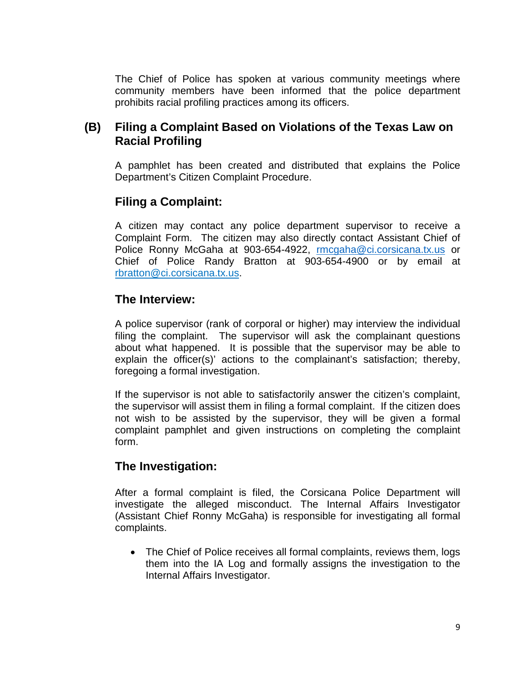The Chief of Police has spoken at various community meetings where community members have been informed that the police department prohibits racial profiling practices among its officers.

#### **(B) Filing a Complaint Based on Violations of the Texas Law on Racial Profiling**

A pamphlet has been created and distributed that explains the Police Department's Citizen Complaint Procedure.

#### **Filing a Complaint:**

A citizen may contact any police department supervisor to receive a Complaint Form. The citizen may also directly contact Assistant Chief of Police Ronny McGaha at 903-654-4922, [rmcgaha@ci.corsicana.tx.us](mailto:rmcgaha@ci.corsicana.tx.us) or Chief of Police Randy Bratton at 903-654-4900 or by email at rbratton@ci.corsicana.tx.us.

#### **The Interview:**

A police supervisor (rank of corporal or higher) may interview the individual filing the complaint. The supervisor will ask the complainant questions about what happened. It is possible that the supervisor may be able to explain the officer(s)' actions to the complainant's satisfaction; thereby, foregoing a formal investigation.

If the supervisor is not able to satisfactorily answer the citizen's complaint, the supervisor will assist them in filing a formal complaint. If the citizen does not wish to be assisted by the supervisor, they will be given a formal complaint pamphlet and given instructions on completing the complaint form.

#### **The Investigation:**

After a formal complaint is filed, the Corsicana Police Department will investigate the alleged misconduct. The Internal Affairs Investigator (Assistant Chief Ronny McGaha) is responsible for investigating all formal complaints.

• The Chief of Police receives all formal complaints, reviews them, logs them into the IA Log and formally assigns the investigation to the Internal Affairs Investigator.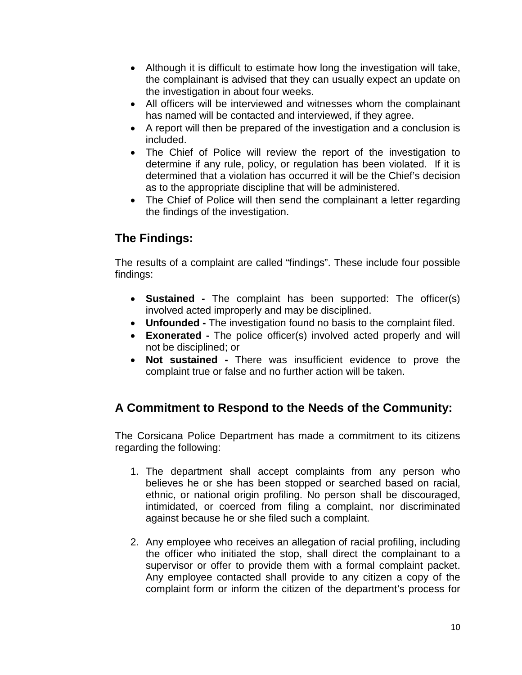- Although it is difficult to estimate how long the investigation will take, the complainant is advised that they can usually expect an update on the investigation in about four weeks.
- All officers will be interviewed and witnesses whom the complainant has named will be contacted and interviewed, if they agree.
- A report will then be prepared of the investigation and a conclusion is included.
- The Chief of Police will review the report of the investigation to determine if any rule, policy, or regulation has been violated. If it is determined that a violation has occurred it will be the Chief's decision as to the appropriate discipline that will be administered.
- The Chief of Police will then send the complainant a letter regarding the findings of the investigation.

### **The Findings:**

The results of a complaint are called "findings". These include four possible findings:

- **Sustained -** The complaint has been supported: The officer(s) involved acted improperly and may be disciplined.
- **Unfounded -** The investigation found no basis to the complaint filed.
- **Exonerated -** The police officer(s) involved acted properly and will not be disciplined; or
- **Not sustained -** There was insufficient evidence to prove the complaint true or false and no further action will be taken.

### **A Commitment to Respond to the Needs of the Community:**

The Corsicana Police Department has made a commitment to its citizens regarding the following:

- 1. The department shall accept complaints from any person who believes he or she has been stopped or searched based on racial, ethnic, or national origin profiling. No person shall be discouraged, intimidated, or coerced from filing a complaint, nor discriminated against because he or she filed such a complaint.
- 2. Any employee who receives an allegation of racial profiling, including the officer who initiated the stop, shall direct the complainant to a supervisor or offer to provide them with a formal complaint packet. Any employee contacted shall provide to any citizen a copy of the complaint form or inform the citizen of the department's process for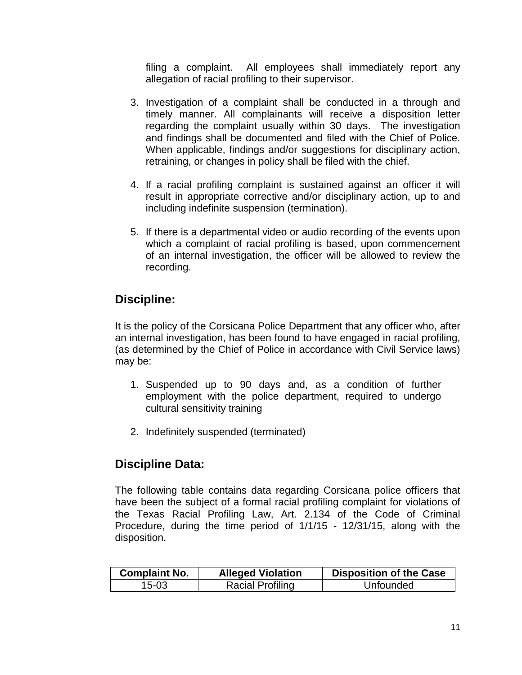filing a complaint. All employees shall immediately report any allegation of racial profiling to their supervisor.

- 3. Investigation of a complaint shall be conducted in a through and timely manner. All complainants will receive a disposition letter regarding the complaint usually within 30 days. The investigation and findings shall be documented and filed with the Chief of Police. When applicable, findings and/or suggestions for disciplinary action, retraining, or changes in policy shall be filed with the chief.
- 4. If a racial profiling complaint is sustained against an officer it will result in appropriate corrective and/or disciplinary action, up to and including indefinite suspension (termination).
- 5. If there is a departmental video or audio recording of the events upon which a complaint of racial profiling is based, upon commencement of an internal investigation, the officer will be allowed to review the recording.

#### **Discipline:**

It is the policy of the Corsicana Police Department that any officer who, after an internal investigation, has been found to have engaged in racial profiling, (as determined by the Chief of Police in accordance with Civil Service laws) may be:

- 1. Suspended up to 90 days and, as a condition of further employment with the police department, required to undergo cultural sensitivity training
- 2. Indefinitely suspended (terminated)

### **Discipline Data:**

The following table contains data regarding Corsicana police officers that have been the subject of a formal racial profiling complaint for violations of the Texas Racial Profiling Law, Art. 2.134 of the Code of Criminal Procedure, during the time period of 1/1/15 - 12/31/15, along with the disposition.

| <b>Complaint No.</b> | <b>Alleged Violation</b> | <b>Disposition of the Case</b> |
|----------------------|--------------------------|--------------------------------|
| 15-03                | <b>Racial Profiling</b>  | Unfounded                      |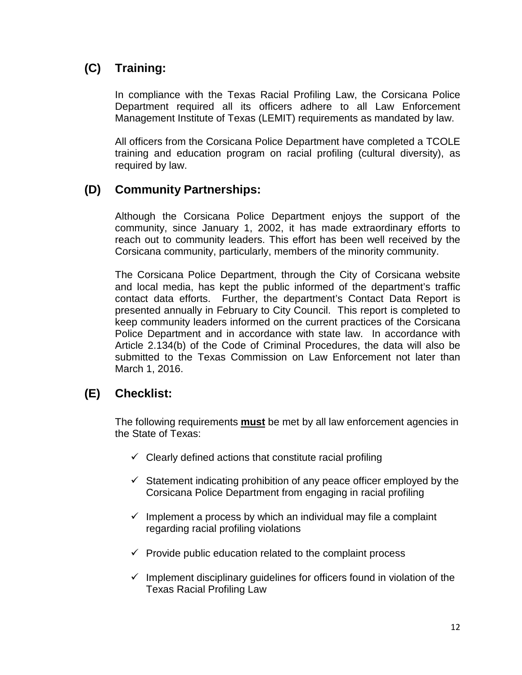### **(C) Training:**

In compliance with the Texas Racial Profiling Law, the Corsicana Police Department required all its officers adhere to all Law Enforcement Management Institute of Texas (LEMIT) requirements as mandated by law.

All officers from the Corsicana Police Department have completed a TCOLE training and education program on racial profiling (cultural diversity), as required by law.

#### **(D) Community Partnerships:**

Although the Corsicana Police Department enjoys the support of the community, since January 1, 2002, it has made extraordinary efforts to reach out to community leaders. This effort has been well received by the Corsicana community, particularly, members of the minority community.

The Corsicana Police Department, through the City of Corsicana website and local media, has kept the public informed of the department's traffic contact data efforts. Further, the department's Contact Data Report is presented annually in February to City Council. This report is completed to keep community leaders informed on the current practices of the Corsicana Police Department and in accordance with state law. In accordance with Article 2.134(b) of the Code of Criminal Procedures, the data will also be submitted to the Texas Commission on Law Enforcement not later than March 1, 2016.

### **(E) Checklist:**

The following requirements **must** be met by all law enforcement agencies in the State of Texas:

- $\checkmark$  Clearly defined actions that constitute racial profiling
- $\checkmark$  Statement indicating prohibition of any peace officer employed by the Corsicana Police Department from engaging in racial profiling
- $\checkmark$  Implement a process by which an individual may file a complaint regarding racial profiling violations
- $\checkmark$  Provide public education related to the complaint process
- $\checkmark$  Implement disciplinary quidelines for officers found in violation of the Texas Racial Profiling Law